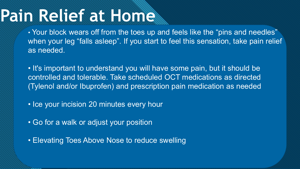# **Pain Relief at Home**

• Your block wears off from the toes up and feels like the "pins and needles" when your leg "falls asleep". If you start to feel this sensation, take pain relief as needed.

• It's important to understand you will have some pain, but it should be controlled and tolerable. Take scheduled OCT medications as directed (Tylenol and/or Ibuprofen) and prescription pain medication as needed

- Ice your incision 20 minutes every hour
- Go for a walk or adjust your position

• Elevating Toes Above Nose to reduce swelling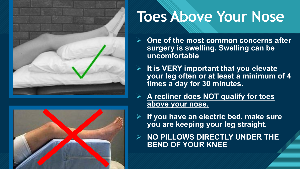



# **Toes Above Your Nose**

- **One of the most common concerns after surgery is swelling. Swelling can be uncomfortable**
- **It is VERY important that you elevate your leg often or at least a minimum of 4 times a day for 30 minutes.** 
	- **A recliner does NOT qualify for toes above your nose.**
- **If you have an electric bed, make sure you are keeping your leg straight.**
- **NO PILLOWS DIRECTLY UNDER THE BEND OF YOUR KNEE**

2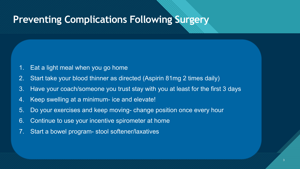## **Preventing Complications Following Surgery**

- Eat a light meal when you go home
- 2. Start take your blood thinner as directed (Aspirin 81mg 2 times daily)
- 3. Have your coach/someone you trust stay with you at least for the first 3 days

3 3

- 4. Keep swelling at a minimum- ice and elevate!
- 5. Do your exercises and keep moving- change position once every hour
- 6. Continue to use your incentive spirometer at home
- 7. Start a bowel program- stool softener/laxatives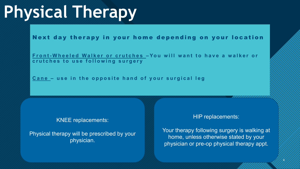## Click to edit Master title stylet to edit Master to edit and the state of the state of the state of the state of **Physical Therapy**

Next day therapy in your home depending on your location

**Front - Wheeled Walker or crutches – You will want to have a walker or crutches to use following surgery**

**Cane – use in the opposite hand of your surgical leg**

#### KNEE replacements:

Physical therapy will be prescribed by your physician.

#### HIP replacements:

Your therapy following surgery is walking at home, unless otherwise stated by your physician or pre-op physical therapy appt.

4

4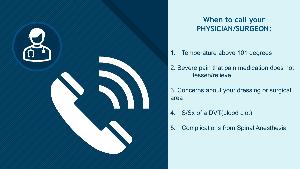

### **When to call your PHYSICIAN/SURGEON:**

- 1. Temperature above 101 degrees
- 2. Severe pain that pain medication does not lessen/relieve
- 3. Concerns about your dressing or surgical area
- 4. S/Sx of a DVT(blood clot)
- 5. Complications from Spinal Anesthesia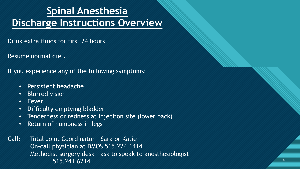### **Click to edit Controller Students Spinal Anesthesia Discharge Instructions Overview**

Drink extra fluids for first 24 hours.

Resume normal diet.

If you experience any of the following symptoms:

- Persistent headache
- Blurred vision
- Fever
- Difficulty emptying bladder
- Tenderness or redness at injection site (lower back)
- Return of numbness in legs

Call: Total Joint Coordinator – Sara or Katie On-call physician at DMOS 515.224.1414 Methodist surgery desk – ask to speak to anesthesiologist 515.241.6214

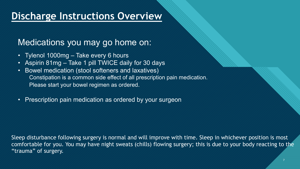#### <u>Discharge instructions Overv</u> **Discharge Instructions Overview**

### Medications you may go home on:

- Tylenol 1000mg Take every 6 hours
- Aspirin 81mg Take 1 pill TWICE daily for 30 days
- Bowel medication (stool softeners and laxatives) Constipation is a common side effect of all prescription pain medication. Please start your bowel regimen as ordered.
- Prescription pain medication as ordered by your surgeon

Sleep disturbance following surgery is normal and will improve with time. Sleep in whichever position is most comfortable for you. You may have night sweats (chills) flowing surgery; this is due to your body reacting to the "trauma" of surgery.

 $\overline{\phantom{0}}$  7